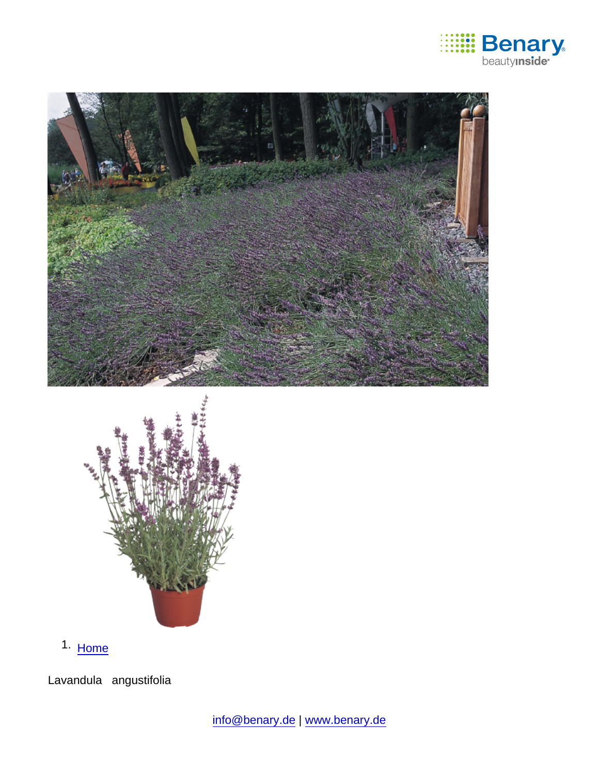

1. [Home](https://www.benary.com/)

Lavandula angustifolia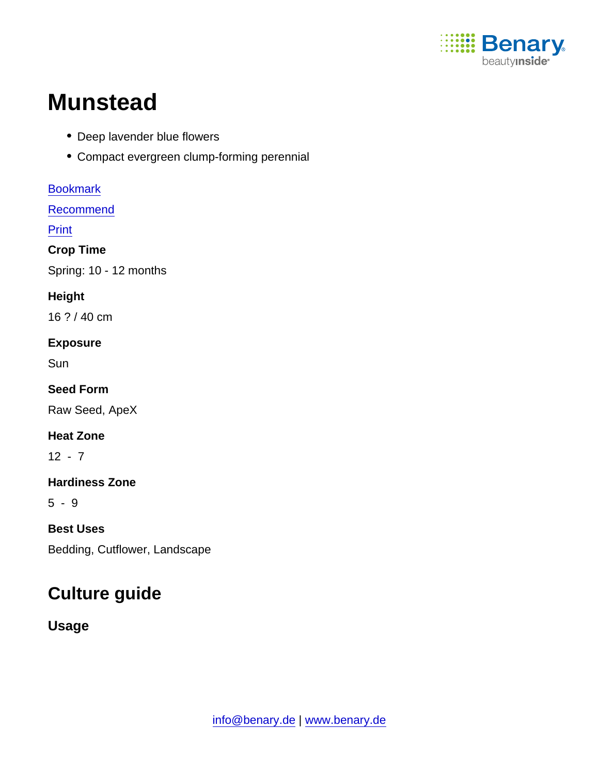

# **Munstead**

- Deep lavender blue flowers
- Compact evergreen clump-forming perennial

[Bookmark](https://www.benary.com/flag/flag/product/5971?destination&token=HZhK893ej25fsssWP78vyJzCHhH5UcY5aFuKcuhOmH8) [Recommend](mailto:?subject=Benary Lavandula angustifolia &body=https://www.benary.com/print/pdf/node/5971) **Print** Crop Time Spring: 10 - 12 months **Height** 16 ? / 40 cm Exposure Sun Seed Form Raw Seed, ApeX Heat Zone  $12 - 7$ Hardiness Zone 5 - 9 Best Uses Bedding, Cutflower, Landscape

# Culture guide

Usage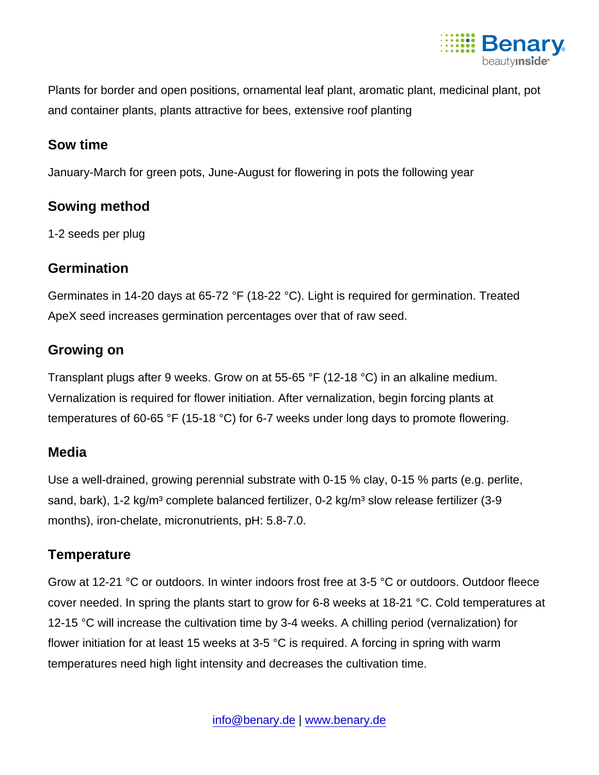

Plants for border and open positions, ornamental leaf plant, aromatic plant, medicinal plant, pot and container plants, plants attractive for bees, extensive roof planting

#### Sow time

January-March for green pots, June-August for flowering in pots the following year

#### Sowing method

1-2 seeds per plug

#### **Germination**

Germinates in 14-20 days at 65-72 °F (18-22 °C). Light is required for germination. Treated ApeX seed increases germination percentages over that of raw seed.

## Growing on

Transplant plugs after 9 weeks. Grow on at 55-65 °F (12-18 °C) in an alkaline medium. Vernalization is required for flower initiation. After vernalization, begin forcing plants at temperatures of 60-65 °F (15-18 °C) for 6-7 weeks under long days to promote flowering.

#### Media

Use a well-drained, growing perennial substrate with 0-15 % clay, 0-15 % parts (e.g. perlite, sand, bark), 1-2 kg/m<sup>3</sup> complete balanced fertilizer, 0-2 kg/m<sup>3</sup> slow release fertilizer (3-9 months), iron-chelate, micronutrients, pH: 5.8-7.0.

## **Temperature**

Grow at 12-21 °C or outdoors. In winter indoors frost free at 3-5 °C or outdoors. Outdoor fleece cover needed. In spring the plants start to grow for 6-8 weeks at 18-21 °C. Cold temperatures at 12-15 °C will increase the cultivation time by 3-4 weeks. A chilling period (vernalization) for flower initiation for at least 15 weeks at 3-5  $\degree$ C is required. A forcing in spring with warm temperatures need high light intensity and decreases the cultivation time.